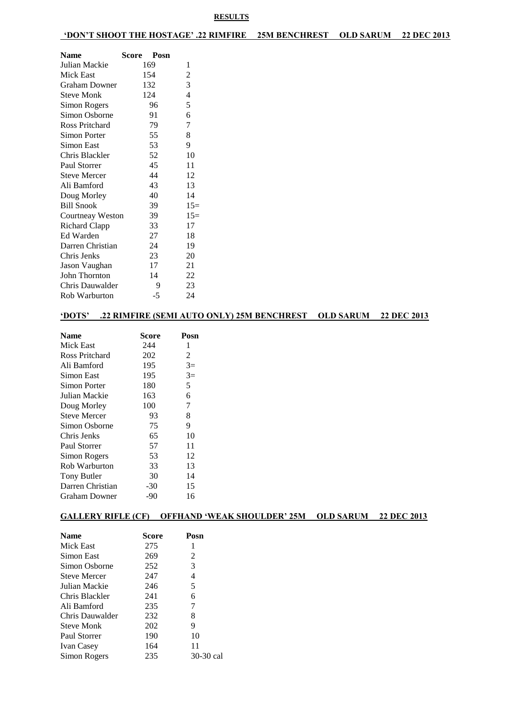### **'DON'T SHOOT THE HOSTAGE' .22 RIMFIRE 25M BENCHREST OLD SARUM 22 DEC 2013**

| Name                 | Score<br>Posn |                          |
|----------------------|---------------|--------------------------|
| Julian Mackie        | 169           | 1                        |
| Mick East            | 154           | $\overline{c}$           |
| <b>Graham Downer</b> | 132           | 3                        |
| <b>Steve Monk</b>    | 124           | $\overline{\mathcal{L}}$ |
| Simon Rogers         | 96            | 5                        |
| Simon Osborne        | 91            | 6                        |
| Ross Pritchard       | 79            | $\boldsymbol{7}$         |
| Simon Porter         | 55            | 8                        |
| Simon East           | 53            | 9                        |
| Chris Blackler       | 52            | 10                       |
| Paul Storrer         | 45            | 11                       |
| <b>Steve Mercer</b>  | 44            | 12                       |
| Ali Bamford          | 43            | 13                       |
| Doug Morley          | 40            | 14                       |
| <b>Bill Snook</b>    | 39            | $15=$                    |
| Courtneay Weston     | 39            | $15=$                    |
| <b>Richard Clapp</b> | 33            | 17                       |
| Ed Warden            | 27            | 18                       |
| Darren Christian     | 24            | 19                       |
| Chris Jenks          | 23            | 20                       |
| Jason Vaughan        | 17            | 21                       |
| John Thornton        | 14            | 22                       |
| Chris Dauwalder      | 9             | 23                       |
| Rob Warburton        | -5            | 24                       |

## **'DOTS' .22 RIMFIRE (SEMI AUTO ONLY) 25M BENCHREST OLD SARUM 22 DEC 2013**

| <b>Name</b>         | Score | Posn |
|---------------------|-------|------|
| Mick East           | 244   | 1    |
| Ross Pritchard      | 202   | 2    |
| Ali Bamford         | 195   | $3=$ |
| Simon East          | 195   | $3=$ |
| Simon Porter        | 180   | 5    |
| Julian Mackie       | 163   | 6    |
| Doug Morley         | 100   | 7    |
| <b>Steve Mercer</b> | 93    | 8    |
| Simon Osborne       | 75    | 9    |
| Chris Jenks         | 65    | 10   |
| Paul Storrer        | 57    | 11   |
| Simon Rogers        | 53    | 12   |
| Rob Warburton       | 33    | 13   |
| <b>Tony Butler</b>  | 30    | 14   |
| Darren Christian    | $-30$ | 15   |
| Graham Downer       | -90   | 16   |

### **GALLERY RIFLE (CF) OFFHAND 'WEAK SHOULDER' 25M OLD SARUM 22 DEC 2013**

| <b>Name</b>         | Score | Posn      |
|---------------------|-------|-----------|
| Mick East           | 275   | 1         |
| Simon East          | 269   | 2         |
| Simon Osborne       | 252   | 3         |
| <b>Steve Mercer</b> | 247   | 4         |
| Julian Mackie       | 246   | 5         |
| Chris Blackler      | 241   | 6         |
| Ali Bamford         | 235   | 7         |
| Chris Dauwalder     | 232   | 8         |
| Steve Monk          | 202   | 9         |
| Paul Storrer        | 190   | 10        |
| <b>Ivan Casey</b>   | 164   | 11        |
| Simon Rogers        | 235   | 30-30 cal |
|                     |       |           |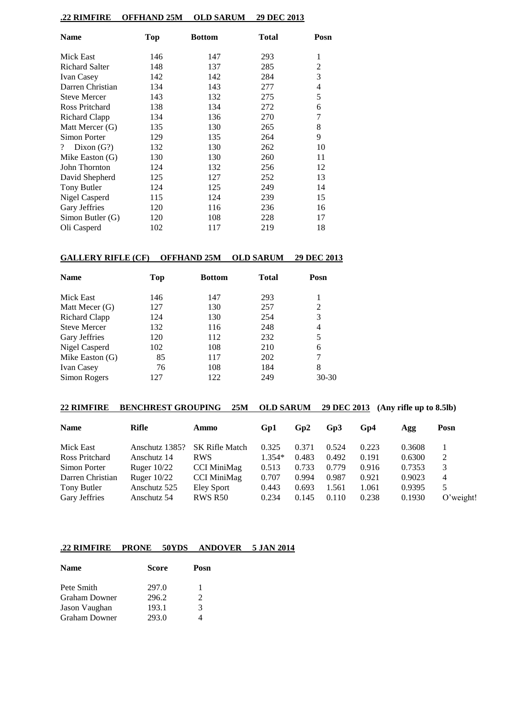### **.22 RIMFIRE OFFHAND 25M OLD SARUM 29 DEC 2013**

| <b>Name</b>                    | <b>Top</b> | <b>Bottom</b> | <b>Total</b> | Posn |
|--------------------------------|------------|---------------|--------------|------|
| Mick East                      | 146        | 147           | 293          | 1    |
| <b>Richard Salter</b>          | 148        | 137           | 285          | 2    |
| <b>Ivan Casey</b>              | 142        | 142           | 284          | 3    |
| Darren Christian               | 134        | 143           | 277          | 4    |
| <b>Steve Mercer</b>            | 143        | 132           | 275          | 5    |
| Ross Pritchard                 | 138        | 134           | 272          | 6    |
| Richard Clapp                  | 134        | 136           | 270          | 7    |
| Matt Mercer (G)                | 135        | 130           | 265          | 8    |
| Simon Porter                   | 129        | 135           | 264          | 9    |
| Dixon $(G?)$<br>$\overline{?}$ | 132        | 130           | 262          | 10   |
| Mike Easton $(G)$              | 130        | 130           | 260          | 11   |
| John Thornton                  | 124        | 132           | 256          | 12   |
| David Shepherd                 | 125        | 127           | 252          | 13   |
| Tony Butler                    | 124        | 125           | 249          | 14   |
| Nigel Casperd                  | 115        | 124           | 239          | 15   |
| Gary Jeffries                  | 120        | 116           | 236          | 16   |
| Simon Butler (G)               | 120        | 108           | 228          | 17   |
| Oli Casperd                    | 102        | 117           | 219          | 18   |

## **GALLERY RIFLE (CF) OFFHAND 25M OLD SARUM 29 DEC 2013**

| <b>Name</b>         | Top | <b>Bottom</b> | Total | Posn      |
|---------------------|-----|---------------|-------|-----------|
| Mick East           | 146 | 147           | 293   | 1         |
| Matt Mecer (G)      | 127 | 130           | 257   | 2         |
| Richard Clapp       | 124 | 130           | 254   | 3         |
| <b>Steve Mercer</b> | 132 | 116           | 248   | 4         |
| Gary Jeffries       | 120 | 112           | 232   | 5         |
| Nigel Casperd       | 102 | 108           | 210   | 6         |
| Mike Easton $(G)$   | 85  | 117           | 202   | 7         |
| <b>Ivan Casey</b>   | 76  | 108           | 184   | 8         |
| Simon Rogers        | 127 | 122           | 249   | $30 - 30$ |

| <b>BENCHREST GROUPING</b><br><b>22 RIMFIRE</b><br>25M |                |                       | <b>OLD SARUM</b><br><b>29 DEC 2013</b><br>$(Any\;riffe\;up\;to\;8.5lb)$ |       |       |       |        |              |
|-------------------------------------------------------|----------------|-----------------------|-------------------------------------------------------------------------|-------|-------|-------|--------|--------------|
| <b>Name</b>                                           | Rifle          | Ammo                  | Gp1                                                                     | Gp2   | Gp3   | Gp4   | Agg    | Posn         |
| Mick East                                             | Anschutz 1385? | <b>SK Rifle Match</b> | 0.325                                                                   | 0.371 | 0.524 | 0.223 | 0.3608 |              |
| Ross Pritchard                                        | Anschutz 14    | <b>RWS</b>            | $1.354*$                                                                | 0.483 | 0.492 | 0.191 | 0.6300 | 2            |
| Simon Porter                                          | Ruger $10/22$  | <b>CCI MiniMag</b>    | 0.513                                                                   | 0.733 | 0.779 | 0.916 | 0.7353 | 3            |
| Darren Christian                                      | Ruger $10/22$  | <b>CCI MiniMag</b>    | 0.707                                                                   | 0.994 | 0.987 | 0.921 | 0.9023 | 4            |
| Tony Butler                                           | Anschutz 525   | Eley Sport            | 0.443                                                                   | 0.693 | 1.561 | 1.061 | 0.9395 | 5.           |
| Gary Jeffries                                         | Anschutz 54    | <b>RWS R50</b>        | 0.234                                                                   | 0.145 | 0.110 | 0.238 | 0.1930 | $O$ 'weight! |

## **.22 RIMFIRE PRONE 50YDS ANDOVER 5 JAN 2014**

| <b>Name</b>          | <b>Score</b> | Posn                        |
|----------------------|--------------|-----------------------------|
| Pete Smith           | 297.0        | 1                           |
| <b>Graham Downer</b> | 296.2        | $\mathcal{D}_{\mathcal{L}}$ |
| Jason Vaughan        | 193.1        | 3                           |
| <b>Graham Downer</b> | 293.0        |                             |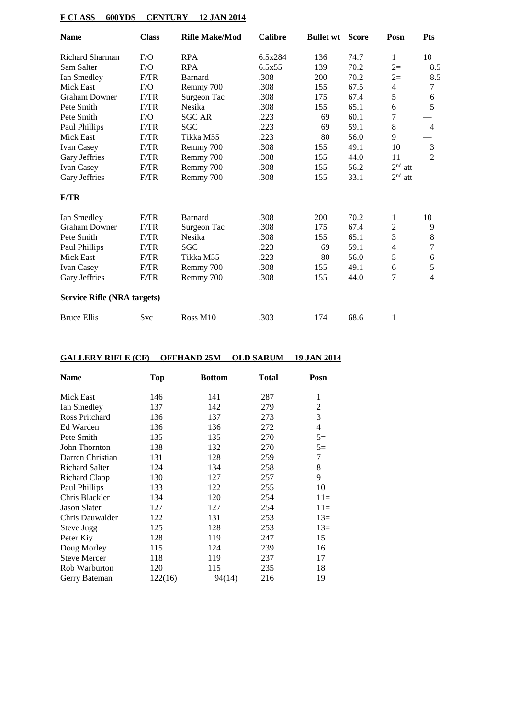## **F CLASS 600YDS CENTURY 12 JAN 2014**

| <b>Name</b>                        | <b>Class</b> | <b>Rifle Make/Mod</b> | <b>Calibre</b> | <b>Bullet wt</b> | <b>Score</b> | Posn                     | <b>Pts</b>     |
|------------------------------------|--------------|-----------------------|----------------|------------------|--------------|--------------------------|----------------|
| Richard Sharman                    | F/O          | <b>RPA</b>            | 6.5x284        | 136              | 74.7         | 1                        | 10             |
| Sam Salter                         | F/O          | <b>RPA</b>            | 6.5x55         | 139              | 70.2         | $2=$                     | 8.5            |
| Ian Smedley                        | F/TR         | Barnard               | .308           | 200              | 70.2         | $2=$                     | 8.5            |
| Mick East                          | F/O          | Remmy 700             | .308           | 155              | 67.5         | 4                        | $\tau$         |
| <b>Graham Downer</b>               | F/TR         | Surgeon Tac           | .308           | 175              | 67.4         | 5                        | 6              |
| Pete Smith                         | F/TR         | Nesika                | .308           | 155              | 65.1         | 6                        | 5              |
| Pete Smith                         | F/O          | <b>SGC AR</b>         | .223           | 69               | 60.1         | 7                        |                |
| Paul Phillips                      | F/TR         | SGC                   | .223           | 69               | 59.1         | $\,8$                    | $\overline{4}$ |
| Mick East                          | F/TR         | Tikka M55             | .223           | 80               | 56.0         | 9                        |                |
| Ivan Casey                         | F/TR         | Remmy 700             | .308           | 155              | 49.1         | 10                       | 3              |
| Gary Jeffries                      | F/TR         | Remmy 700             | .308           | 155              | 44.0         | 11                       | $\overline{2}$ |
| <b>Ivan Casey</b>                  | F/TR         | Remmy 700             | .308           | 155              | 56.2         | $2nd$ att                |                |
| Gary Jeffries                      | F/TR         | Remmy 700             | .308           | 155              | 33.1         | $2nd$ att                |                |
| F/TR                               |              |                       |                |                  |              |                          |                |
| Ian Smedley                        | F/TR         | <b>Barnard</b>        | .308           | 200              | 70.2         | 1                        | 10             |
| <b>Graham Downer</b>               | F/TR         | Surgeon Tac           | .308           | 175              | 67.4         | $\mathfrak{2}$           | 9              |
| Pete Smith                         | F/TR         | Nesika                | .308           | 155              | 65.1         | 3                        | 8              |
| Paul Phillips                      | F/TR         | SGC                   | .223           | 69               | 59.1         | $\overline{\mathcal{L}}$ | 7              |
| Mick East                          | F/TR         | Tikka M55             | .223           | 80               | 56.0         | 5                        | 6              |
| <b>Ivan Casey</b>                  | F/TR         | Remmy 700             | .308           | 155              | 49.1         | 6                        | 5              |
| Gary Jeffries                      | F/TR         | Remmy 700             | .308           | 155              | 44.0         | 7                        | 4              |
| <b>Service Rifle (NRA targets)</b> |              |                       |                |                  |              |                          |                |
| <b>Bruce Ellis</b>                 | Svc          | Ross M10              | .303           | 174              | 68.6         | 1                        |                |

## **GALLERY RIFLE (CF) OFFHAND 25M OLD SARUM 19 JAN 2014**

| <b>Name</b>           | Top     | <b>Bottom</b> | <b>Total</b> | Posn  |
|-----------------------|---------|---------------|--------------|-------|
| Mick East             | 146     | 141           | 287          | 1     |
| Ian Smedley           | 137     | 142           | 279          | 2     |
| Ross Pritchard        | 136     | 137           | 273          | 3     |
| Ed Warden             | 136     | 136           | 272          | 4     |
| Pete Smith            | 135     | 135           | 270          | $5=$  |
| John Thornton         | 138     | 132           | 270          | $5=$  |
| Darren Christian      | 131     | 128           | 259          | 7     |
| <b>Richard Salter</b> | 124     | 134           | 258          | 8     |
| Richard Clapp         | 130     | 127           | 257          | 9     |
| Paul Phillips         | 133     | 122           | 255          | 10    |
| Chris Blackler        | 134     | 120           | 254          | $11=$ |
| <b>Jason Slater</b>   | 127     | 127           | 254          | $11=$ |
| Chris Dauwalder       | 122     | 131           | 253          | $13=$ |
| Steve Jugg            | 125     | 128           | 253          | $13=$ |
| Peter Kiy             | 128     | 119           | 247          | 15    |
| Doug Morley           | 115     | 124           | 239          | 16    |
| <b>Steve Mercer</b>   | 118     | 119           | 237          | 17    |
| Rob Warburton         | 120     | 115           | 235          | 18    |
| Gerry Bateman         | 122(16) | 94(14)        | 216          | 19    |